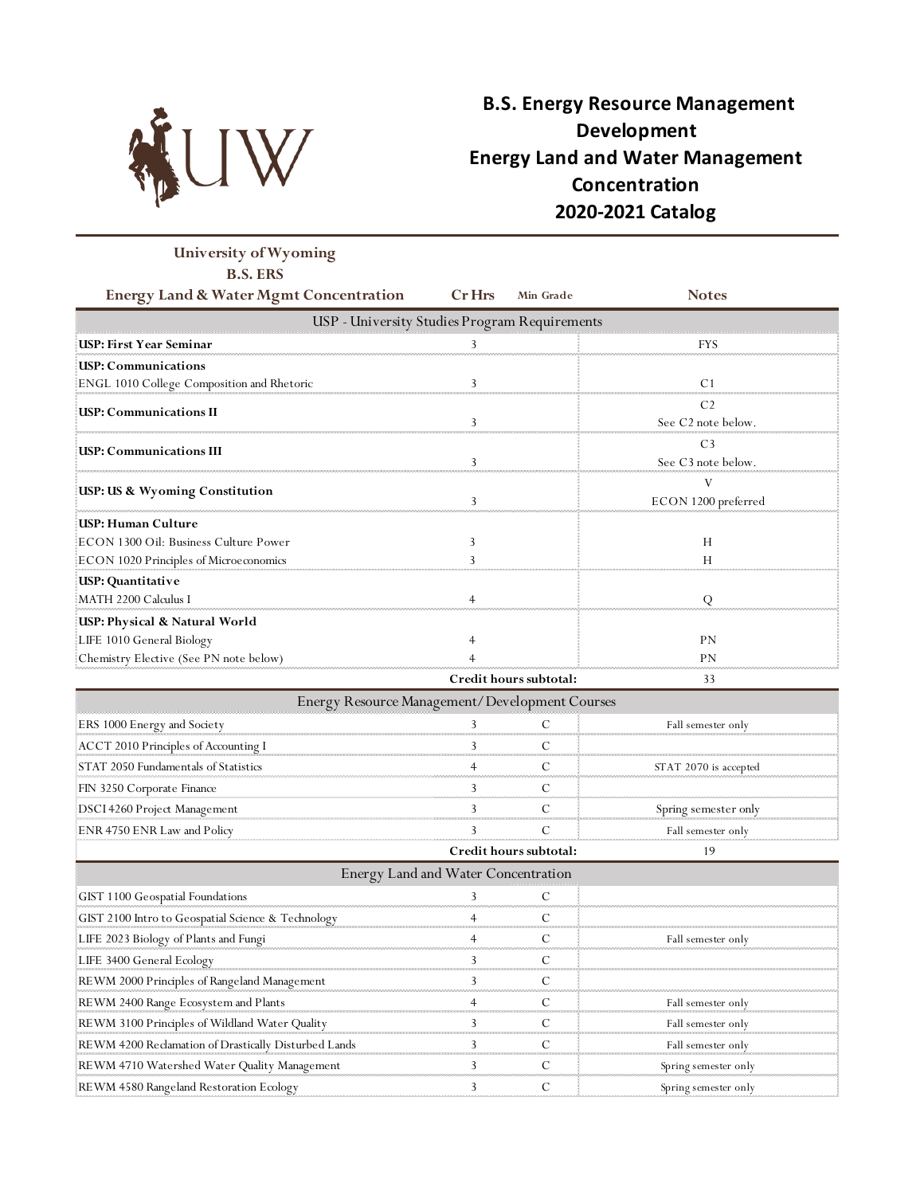

## **B.S. Energy Resource Management Development Energy Land and Water Management Concentration 2020-2021 Catalog**

| University of Wyoming                                |                                               |                        |                                      |
|------------------------------------------------------|-----------------------------------------------|------------------------|--------------------------------------|
| <b>B.S. ERS</b>                                      |                                               |                        |                                      |
| <b>Energy Land &amp; Water Mgmt Concentration</b>    | <b>Cr</b> Hrs                                 | Min Grade              | <b>Notes</b>                         |
|                                                      | USP - University Studies Program Requirements |                        |                                      |
| USP: First Year Seminar                              | 3                                             |                        | FYS                                  |
| <b>USP: Communications</b>                           |                                               |                        |                                      |
| ENGL 1010 College Composition and Rhetoric           | 3                                             |                        | C <sub>1</sub>                       |
| <b>USP: Communications II</b>                        |                                               |                        | C <sub>2</sub><br>See C2 note below. |
| <b>USP: Communications III</b>                       | 3                                             |                        | C <sub>3</sub><br>See C3 note below. |
| USP: US & Wyoming Constitution                       | 3                                             |                        | V<br>ECON 1200 preferred             |
| USP: Human Culture                                   |                                               |                        |                                      |
| ECON 1300 Oil: Business Culture Power                | 3                                             |                        | Н                                    |
| ECON 1020 Principles of Microeconomics               | 3                                             |                        | H                                    |
| USP: Quantitative<br>MATH 2200 Calculus I            |                                               |                        | Q                                    |
| USP: Physical & Natural World                        |                                               |                        |                                      |
| LIFE 1010 General Biology                            |                                               |                        | PN                                   |
| Chemistry Elective (See PN note below)               |                                               |                        | PN                                   |
|                                                      |                                               | Credit hours subtotal: | 33                                   |
| Energy Resource Management/Development Courses       |                                               |                        |                                      |
| ERS 1000 Energy and Society                          |                                               | C                      | Fall semester only                   |
| <b>ACCT 2010 Principles of Accounting I</b>          |                                               | С                      |                                      |
| STAT 2050 Fundamentals of Statistics                 |                                               | С                      | STAT 2070 is accepted                |
| FIN 3250 Corporate Finance                           | 3                                             | C                      |                                      |
| DSCI 4260 Project Management                         |                                               | С                      | Spring semester only                 |
| ENR 4750 ENR Law and Policy                          |                                               | С                      | Fall semester only                   |
|                                                      |                                               | Credit hours subtotal: | 19                                   |
|                                                      | Energy Land and Water Concentration           |                        |                                      |
| GIST 1100 Geospatial Foundations                     | 3                                             | С                      |                                      |
| GIST 2100 Intro to Geospatial Science & Technology   | 4                                             | C                      |                                      |
| LIFE 2023 Biology of Plants and Fungi                | 4                                             | C                      | Fall semester only                   |
| LIFE 3400 General Ecology                            | 3                                             | C                      |                                      |
| REWM 2000 Principles of Rangeland Management         | 3                                             | C                      |                                      |
| REWM 2400 Range Ecosystem and Plants                 | 4                                             | C                      | Fall semester only                   |
| REWM 3100 Principles of Wildland Water Quality       |                                               | С                      | Fall semester only                   |
| REWM 4200 Reclamation of Drastically Disturbed Lands | 3                                             | C                      | Fall semester only                   |
| REWM 4710 Watershed Water Quality Management         | 3                                             | C                      | Spring semester only                 |
| REWM 4580 Rangeland Restoration Ecology              | 3                                             | C                      | Spring semester only                 |